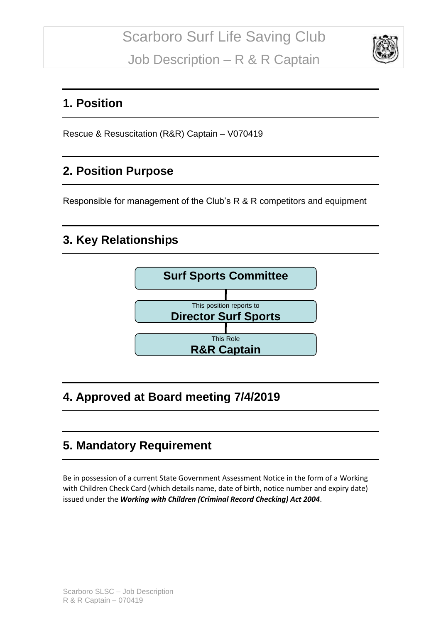

#### **1. Position**

Rescue & Resuscitation (R&R) Captain – V070419

#### **2. Position Purpose**

Responsible for management of the Club's R & R competitors and equipment

## **3. Key Relationships**



## **4. Approved at Board meeting 7/4/2019**

## **5. Mandatory Requirement**

Be in possession of a current State Government Assessment Notice in the form of a Working with Children Check Card (which details name, date of birth, notice number and expiry date) issued under the *Working with Children (Criminal Record Checking) Act 2004*.